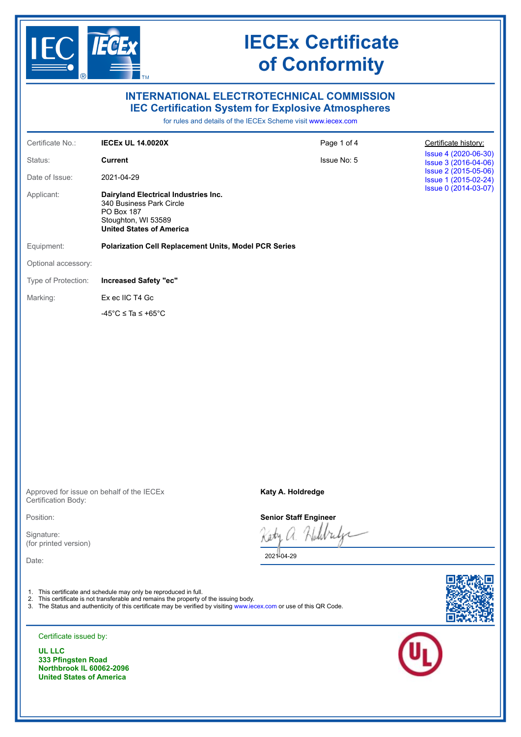

### **INTERNATIONAL ELECTROTECHNICAL COMMISSION IEC Certification System for Explosive Atmospheres**

for rules and details of the IECEx Scheme visit [www.iecex.com](https://www.iecex.com)

| Certificate No.:                    | <b>IECEX UL 14.0020X</b>                                                                                                                                                                                                                                                          | Page 1 of 4                  | Certificate history:                         |
|-------------------------------------|-----------------------------------------------------------------------------------------------------------------------------------------------------------------------------------------------------------------------------------------------------------------------------------|------------------------------|----------------------------------------------|
| Status:                             | <b>Current</b>                                                                                                                                                                                                                                                                    | Issue No: 5                  | Issue 4 (2020-06-30)<br>Issue 3 (2016-04-06) |
| Date of Issue:                      | 2021-04-29                                                                                                                                                                                                                                                                        |                              | Issue 2 (2015-05-06)<br>Issue 1 (2015-02-24) |
| Applicant:                          | Dairyland Electrical Industries Inc.<br>340 Business Park Circle<br>PO Box 187<br>Stoughton, WI 53589<br><b>United States of America</b>                                                                                                                                          |                              | Issue 0 (2014-03-07)                         |
| Equipment:                          | <b>Polarization Cell Replacement Units, Model PCR Series</b>                                                                                                                                                                                                                      |                              |                                              |
| Optional accessory:                 |                                                                                                                                                                                                                                                                                   |                              |                                              |
| Type of Protection:                 | <b>Increased Safety "ec"</b>                                                                                                                                                                                                                                                      |                              |                                              |
| Marking:                            | Ex ec IIC T4 Gc                                                                                                                                                                                                                                                                   |                              |                                              |
|                                     | -45°C $\le$ Ta $\le$ +65°C                                                                                                                                                                                                                                                        |                              |                                              |
|                                     |                                                                                                                                                                                                                                                                                   |                              |                                              |
|                                     |                                                                                                                                                                                                                                                                                   |                              |                                              |
|                                     |                                                                                                                                                                                                                                                                                   |                              |                                              |
|                                     |                                                                                                                                                                                                                                                                                   |                              |                                              |
|                                     |                                                                                                                                                                                                                                                                                   |                              |                                              |
|                                     |                                                                                                                                                                                                                                                                                   |                              |                                              |
|                                     |                                                                                                                                                                                                                                                                                   |                              |                                              |
|                                     |                                                                                                                                                                                                                                                                                   |                              |                                              |
|                                     |                                                                                                                                                                                                                                                                                   |                              |                                              |
|                                     |                                                                                                                                                                                                                                                                                   |                              |                                              |
| Certification Body:                 | Approved for issue on behalf of the IECEx                                                                                                                                                                                                                                         | Katy A. Holdredge            |                                              |
| Position:                           |                                                                                                                                                                                                                                                                                   | <b>Senior Staff Engineer</b> |                                              |
| Signature:<br>(for printed version) |                                                                                                                                                                                                                                                                                   | sty a Holbridge              |                                              |
| Date:                               |                                                                                                                                                                                                                                                                                   | 2021-04-29                   |                                              |
|                                     | 1. This certificate and schedule may only be reproduced in full.<br>2. This certificate is not transferable and remains the property of the issuing body.<br>3. The Status and authenticity of this certificate may be verified by visiting www.iecex.com or use of this QR Code. |                              |                                              |
| Certificate issued by:              |                                                                                                                                                                                                                                                                                   |                              |                                              |
| <b>UL LLC</b>                       |                                                                                                                                                                                                                                                                                   |                              |                                              |

**333 Pfingsten Road Northbrook IL 60062-2096 United States of America**

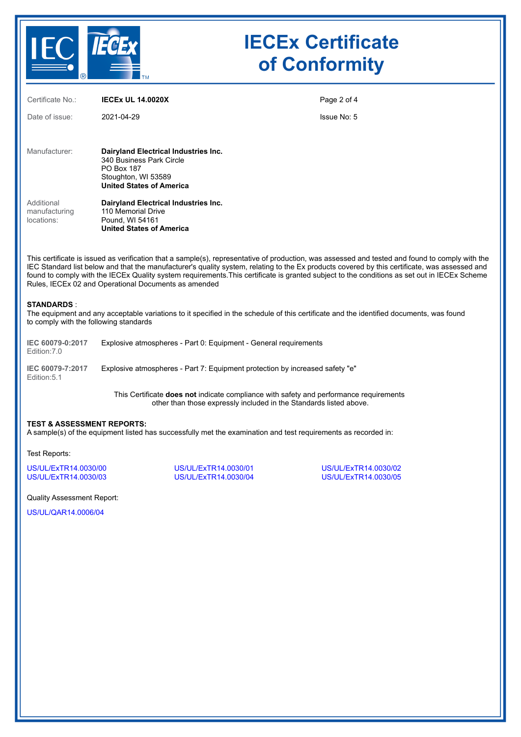

| Certificate No.:                          | <b>IECEX UL 14.0020X</b>                                                                                                                        | Page 2 of 4 |
|-------------------------------------------|-------------------------------------------------------------------------------------------------------------------------------------------------|-------------|
| Date of issue:                            | 2021-04-29                                                                                                                                      | Issue No: 5 |
| Manufacturer:                             | Dairyland Electrical Industries Inc.<br>340 Business Park Circle<br><b>PO Box 187</b><br>Stoughton, WI 53589<br><b>United States of America</b> |             |
| Additional<br>manufacturing<br>locations: | Dairyland Electrical Industries Inc.<br>110 Memorial Drive<br>Pound, WI 54161<br><b>United States of America</b>                                |             |

This certificate is issued as verification that a sample(s), representative of production, was assessed and tested and found to comply with the IEC Standard list below and that the manufacturer's quality system, relating to the Ex products covered by this certificate, was assessed and found to comply with the IECEx Quality system requirements.This certificate is granted subject to the conditions as set out in IECEx Scheme Rules, IECEx 02 and Operational Documents as amended

#### **STANDARDS** :

The equipment and any acceptable variations to it specified in the schedule of this certificate and the identified documents, was found to comply with the following standards

| IEC 60079-0:2017<br>Edition: 7.0 | Explosive atmospheres - Part 0: Equipment - General requirements             |
|----------------------------------|------------------------------------------------------------------------------|
| IEC 60079-7:2017<br>Edition: 5.1 | Explosive atmospheres - Part 7: Equipment protection by increased safety "e" |

This Certificate **does not** indicate compliance with safety and performance requirements other than those expressly included in the Standards listed above.

#### **TEST & ASSESSMENT REPORTS:**

A sample(s) of the equipment listed has successfully met the examination and test requirements as recorded in:

Test Reports:

[US/UL/ExTR14.0030/00](https://www.iecex-certs.com/deliverables/REPORT/37228/view) [US/UL/ExTR14.0030/01](https://www.iecex-certs.com/deliverables/REPORT/37229/view) [US/UL/ExTR14.0030/02](https://www.iecex-certs.com/deliverables/REPORT/37230/view) [US/UL/ExTR14.0030/03](https://www.iecex-certs.com/deliverables/REPORT/37231/view) [US/UL/ExTR14.0030/04](https://www.iecex-certs.com/deliverables/REPORT/62068/view) [US/UL/ExTR14.0030/05](https://www.iecex-certs.com/deliverables/REPORT/71387/view)

Quality Assessment Report:

[US/UL/QAR14.0006/04](https://www.iecex-certs.com/deliverables/REPORT/61917/view)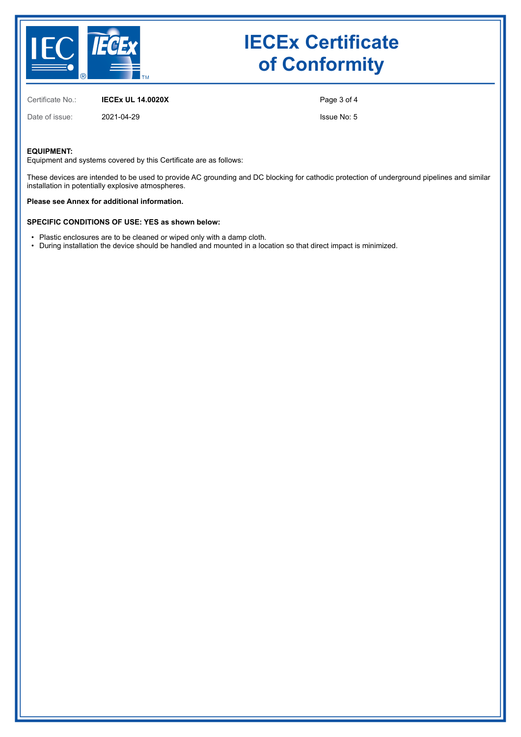

Certificate No.: **IECEx UL 14.0020X**

Date of issue: 2021-04-29

Page 3 of 4

Issue No: 5

### **EQUIPMENT:**

Equipment and systems covered by this Certificate are as follows:

These devices are intended to be used to provide AC grounding and DC blocking for cathodic protection of underground pipelines and similar installation in potentially explosive atmospheres.

**Please see Annex for additional information.**

### **SPECIFIC CONDITIONS OF USE: YES as shown below:**

- Plastic enclosures are to be cleaned or wiped only with a damp cloth.
- During installation the device should be handled and mounted in a location so that direct impact is minimized.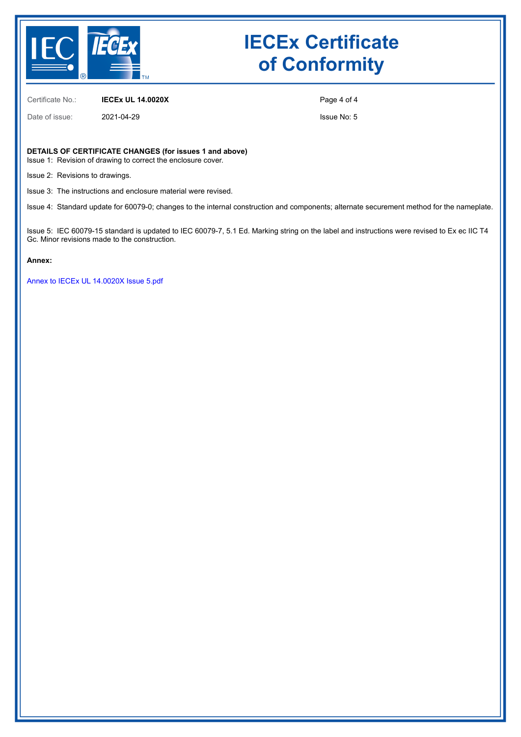

Certificate No.: **IECEx UL 14.0020X**

Date of issue: 2021-04-29

Page 4 of 4

Issue No: 5

#### **DETAILS OF CERTIFICATE CHANGES (for issues 1 and above)**

Issue 1: Revision of drawing to correct the enclosure cover.

Issue 2: Revisions to drawings.

Issue 3: The instructions and enclosure material were revised.

Issue 4: Standard update for 60079-0; changes to the internal construction and components; alternate securement method for the nameplate.

Issue 5: IEC 60079-15 standard is updated to IEC 60079-7, 5.1 Ed. Marking string on the label and instructions were revised to Ex ec IIC T4 Gc. Minor revisions made to the construction.

#### **Annex:**

[Annex to IECEx UL 14.0020X Issue 5.pdf](https://www.iecex-certs.com/deliverables/CERT/52523/view)